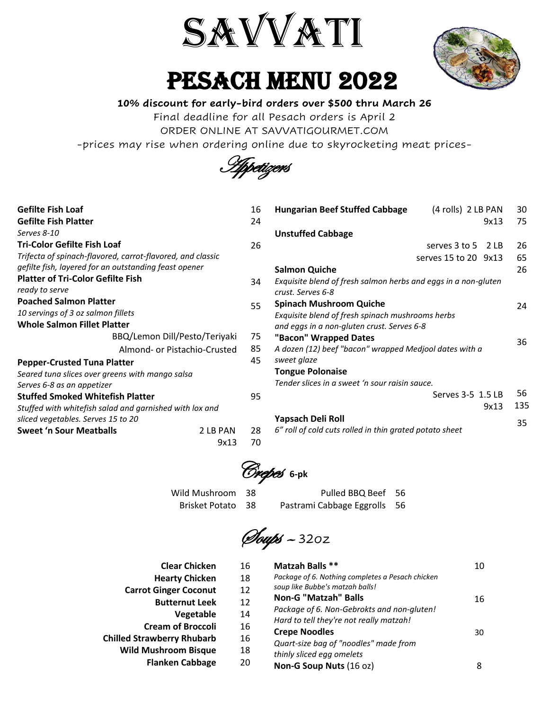

PESACH MENU 2022



#### **10% discount for early-bird orders over \$500 thru March 26**

Final deadline for all Pesach orders is April 2

ORDER ONLINE AT SAVVATIGOURMET.COM

-prices may rise when ordering online due to skyrocketing meat prices-

Appetizers

| <b>Gefilte Fish Loaf</b>                                   | 16 | Hungarian I          |
|------------------------------------------------------------|----|----------------------|
| <b>Gefilte Fish Platter</b>                                | 24 |                      |
| Serves 8-10                                                |    | <b>Unstuffed C</b>   |
| <b>Tri-Color Gefilte Fish Loaf</b>                         | 26 |                      |
| Trifecta of spinach-flavored, carrot-flavored, and classic |    |                      |
| gefilte fish, layered for an outstanding feast opener      |    | Salmon Qui           |
| <b>Platter of Tri-Color Gefilte Fish</b>                   | 34 | Exquisite blei       |
| ready to serve                                             |    | crust. Serves        |
| <b>Poached Salmon Platter</b>                              | 55 | Spinach Mu           |
| 10 servings of 3 oz salmon fillets                         |    | Exquisite blei       |
| <b>Whole Salmon Fillet Platter</b>                         |    | and eggs in c        |
| BBQ/Lemon Dill/Pesto/Teriyaki                              | 75 | "Bacon" Wi           |
| Almond- or Pistachio-Crusted                               | 85 | A dozen (12)         |
| <b>Pepper-Crusted Tuna Platter</b>                         | 45 | sweet glaze          |
| Seared tuna slices over greens with mango salsa            |    | <b>Tongue Pol</b>    |
| Serves 6-8 as an appetizer                                 |    | <b>Tender slices</b> |
| <b>Stuffed Smoked Whitefish Platter</b>                    | 95 |                      |
| Stuffed with whitefish salad and garnished with lox and    |    |                      |
| sliced vegetables. Serves 15 to 20                         |    | <b>Yapsach De</b>    |
| <b>Sweet 'n Sour Meatballs</b><br>2 LB PAN                 | 28 | 6" roll of cold      |
| 9x13                                                       | 70 |                      |

|   | <b>Hungarian Beef Stuffed Cabbage</b>                                               | (4 rolls) 2 LB PAN       |      | 30  |
|---|-------------------------------------------------------------------------------------|--------------------------|------|-----|
|   |                                                                                     |                          | 9x13 | 75  |
|   | <b>Unstuffed Cabbage</b>                                                            |                          |      |     |
|   |                                                                                     | serves $3$ to $5$ $2$ LB |      | 26  |
|   |                                                                                     | serves 15 to 20 9x13     |      | 65  |
|   | <b>Salmon Quiche</b>                                                                |                          |      | 26  |
| ļ | Exquisite blend of fresh salmon herbs and eggs in a non-gluten<br>crust. Serves 6-8 |                          |      |     |
|   | <b>Spinach Mushroom Quiche</b>                                                      |                          |      | 24  |
|   | Exquisite blend of fresh spinach mushrooms herbs                                    |                          |      |     |
|   | and eggs in a non-gluten crust. Serves 6-8                                          |                          |      |     |
|   | "Bacon" Wrapped Dates                                                               |                          |      | 36  |
| 5 | A dozen (12) beef "bacon" wrapped Medjool dates with a<br>sweet glaze               |                          |      |     |
|   | <b>Tongue Polonaise</b>                                                             |                          |      |     |
|   | Tender slices in a sweet 'n sour raisin sauce.                                      |                          |      |     |
|   |                                                                                     | Serves 3-5 1.5 LB        |      | 56  |
|   |                                                                                     |                          | 9x13 | 135 |
|   | Yapsach Deli Roll                                                                   |                          |      | 35  |
|   | 6" roll of cold cuts rolled in thin grated potato sheet                             |                          |      |     |

Crepes **6-pk**

Wild Mushroom 38 Pulled BBQ Beef 56 Brisket Potato 38 Pastrami Cabbage Eggrolls 56

Soups – 32oz

| <b>Clear Chicken</b>              | 16 | Matzah Balls **                                                                       | 10 |
|-----------------------------------|----|---------------------------------------------------------------------------------------|----|
| <b>Hearty Chicken</b>             | 18 | Package of 6. Nothing completes a Pesach chicken                                      |    |
| <b>Carrot Ginger Coconut</b>      | 12 | soup like Bubbe's matzah balls!                                                       |    |
| <b>Butternut Leek</b>             | 12 | <b>Non-G "Matzah" Balls</b>                                                           | 16 |
| Vegetable                         | 14 | Package of 6. Non-Gebrokts and non-gluten!<br>Hard to tell they're not really matzah! |    |
| <b>Cream of Broccoli</b>          | 16 | <b>Crepe Noodles</b>                                                                  | 30 |
| <b>Chilled Strawberry Rhubarb</b> | 16 |                                                                                       |    |
| <b>Wild Mushroom Bisque</b>       | 18 | Quart-size bag of "noodles" made from<br>thinly sliced egg omelets                    |    |
| <b>Flanken Cabbage</b>            | 20 | Non-G Soup Nuts (16 oz)                                                               | 8  |
|                                   |    |                                                                                       |    |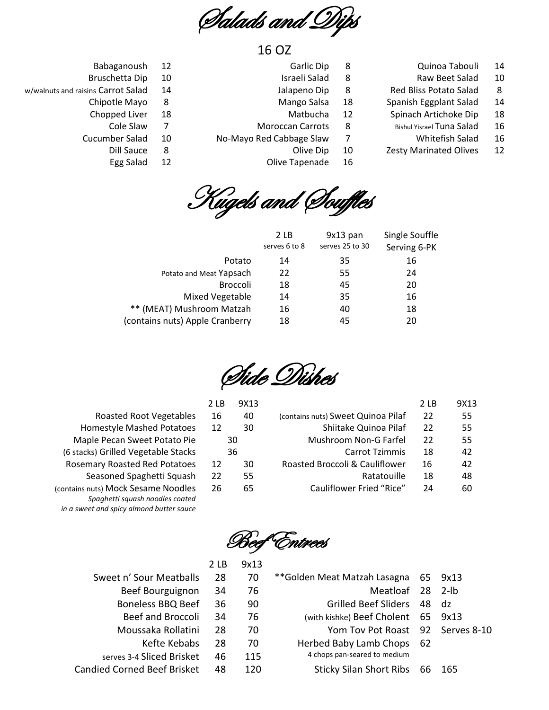Salads and Dips

# 16 OZ

- Quinoa Tabouli 14
- Raw Beet Salad 10
- Red Bliss Potato Salad 8
- Spanish Eggplant Salad 14
- Spinach Artichoke Dip 18
- Bishul Yisrael Tuna Salad 16
	- Whitefish Salad 16
- Zesty Marinated Olives 12
- Garlic Dip
- Israeli Salad 8

8

- Jalapeno Dip 8
- Mango Salsa 18
- Matbucha 12
- Moroccan Carrots 8
- No-Mayo Red Cabbage Slaw 7
	- Olive Dip 10
	- Olive Tapenade 16

Babaganoush 12

- Bruschetta Dip 10
- w/walnuts and raisins Carrot Salad 14
	- Chipotle Mayo 8
		- Chopped Liver 18
		- Cole Slaw 7
		- Cucumber Salad Dill Sauce 10
			- Egg Salad 8 12



|                                 | 2 LB<br>serves 6 to 8 | $9x13$ pan<br>serves 25 to 30 | Single Souffle<br>Serving 6-PK |
|---------------------------------|-----------------------|-------------------------------|--------------------------------|
| Potato                          | 14                    | 35                            | 16                             |
| Potato and Meat Yapsach         | 22                    | 55                            | 24                             |
| <b>Broccoli</b>                 | 18                    | 45                            | 20                             |
| Mixed Vegetable                 | 14                    | 35                            | 16                             |
| ** (MEAT) Mushroom Matzah       | 16                    | 40                            | 18                             |
| (contains nuts) Apple Cranberry | 18                    | 45                            | 20                             |
|                                 |                       |                               |                                |

Side Dishes

| 2 LB | 9X13 |                                    | 2 LB | 9X13 |
|------|------|------------------------------------|------|------|
| 16   | 40   | (contains nuts) Sweet Quinoa Pilaf | 22   | 55   |
| 12   | 30   | Shiitake Quinoa Pilaf              | 22   | 55   |
|      | 30   | Mushroom Non-G Farfel              | 22   | 55   |
|      | 36   | <b>Carrot Tzimmis</b>              | 18   | 42   |
| 12   | 30   | Roasted Broccoli & Cauliflower     | 16   | 42   |
| 22   | 55   | Ratatouille                        | 18   | 48   |
| 26   | 65   | Cauliflower Fried "Rice"           | 24   | 60   |
|      |      |                                    |      |      |

Roasted Root Vegetables 1 Homestyle Mashed Potatoes 1 Maple Pecan Sweet Potato Pie (6 stacks) Grilled Vegetable Stacks Rosemary Roasted Red Potatoes 1 Seasoned Spaghetti Squash 2 (contains nuts) Mock Sesame Noodles 2 *Spaghetti squash noodles coated in a sweet and spicy almond butter sauce*

<u>Entrees</u>

|                | Z LD | コハエコ |                                    |       |         |
|----------------|------|------|------------------------------------|-------|---------|
| our Meatballs  | 28   | 70   | **Golden Meat Matzah Lasagna       |       | 65 9x13 |
| Bourguignon    | 34   | 76   | Meatloaf 28 2-lb                   |       |         |
| ess BBQ Beef   | 36   | 90   | <b>Grilled Beef Sliders</b>        | 48 dz |         |
| and Broccoli   | 34   | 76   | (with kishke) Beef Cholent 65 9x13 |       |         |
| saka Rollatini | 28   | 70   | Yom Tov Pot Roast 92 Serves 8-10   |       |         |
| Kefte Kebabs   | 28   | 70   | Herbed Baby Lamb Chops 62          |       |         |
| Sliced Brisket | 46   | 115  | 4 chops pan-seared to medium       |       |         |
| l Beef Brisket | 48   | 120  | <b>Sticky Silan Short Ribs</b>     | 66    | -165    |

- Sweet n' Sour Mea
	- Beef Bourgui

2 LB 9x13

- Boneless BBO
	- Beef and Bro
- Moussaka Ro
	-
- serves 3-4 Sliced B
- Candied Corned Beef B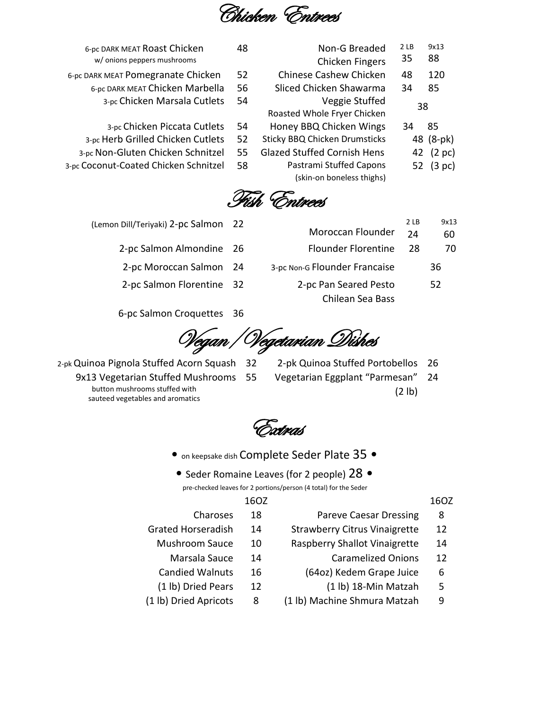Chicken Entrees

| 6-pc DARK MEAT Roast Chicken          | 48 | Non-G Breaded                        | 2 LB | 9x13             |
|---------------------------------------|----|--------------------------------------|------|------------------|
| w/ onions peppers mushrooms           |    | Chicken Fingers                      | 35   | 88               |
| 6-pc DARK MEAT Pomegranate Chicken    | 52 | <b>Chinese Cashew Chicken</b>        | 48   | 120              |
| 6-pc DARK MEAT Chicken Marbella       | 56 | Sliced Chicken Shawarma              | 34   | 85               |
| 3-pc Chicken Marsala Cutlets          | 54 | Veggie Stuffed                       |      | 38               |
|                                       |    | Roasted Whole Fryer Chicken          |      |                  |
| 3-pc Chicken Piccata Cutlets          | 54 | Honey BBQ Chicken Wings              | 34   | 85               |
| 3-pc Herb Grilled Chicken Cutlets     | 52 | <b>Sticky BBQ Chicken Drumsticks</b> |      | 48 (8-pk)        |
| 3-pc Non-Gluten Chicken Schnitzel     | 55 | <b>Glazed Stuffed Cornish Hens</b>   | 42   | $(2 \text{ pc})$ |
| 3-pc Coconut-Coated Chicken Schnitzel | 58 | Pastrami Stuffed Capons              |      | 52 (3 pc)        |
|                                       |    | (skin-on boneless thighs)            |      |                  |
|                                       |    |                                      |      |                  |

Fish Entrees

- (Lemon Dill/Teriyaki) 2-pc Salmon 22
	- 2-pc Salmon Almondine 26 Flounder Florentine 28 70
	- 2-pc Moroccan Salmon 24 3-pc Non-G Flounder Francaise 36
	- 2-pc Salmon Florentine 32 2-pc Pan Seared Pesto

6-pc Salmon Croquettes 36

Vegan/Vegetarian Dishes

- 9x13 Vegetarian Stuffed Mushrooms
	- button mushrooms stuffed with sauteed vegetables and aromatics
- 2-pk Quinoa Pignola Stuffed Acorn Squash 32 2-pk Quinoa Stuffed Portobellos 26

Chilean Sea Bass

Moroccan Flounder

2 LB 24

9x13 60

52

55 Vegetarian Eggplant "Parmesan" (2 lb) 24

Extras

- on keepsake dish Complete Seder Plate 35 •
- Seder Romaine Leaves (for 2 people) 28 •

pre-checked leaves for 2 portions/person (4 total) for the Seder

16OZ 16OZ

Charoses 18 Pareve Caesar Dressing 8

- Grated Horseradish 14 Strawberry Citrus Vinaigrette 12
	- Mushroom Sauce 10 Raspberry Shallot Vinaigrette 14
		- Marsala Sauce 14 Caramelized Onions 12
	- Candied Walnuts 16 (64oz) Kedem Grape Juice 6
	- (1 lb) Dried Pears 12 (1 lb) 18-Min Matzah 5
- (1 lb) Dried Apricots 8 (1 lb) Machine Shmura Matzah 9
- 
- -
	-
- 
-